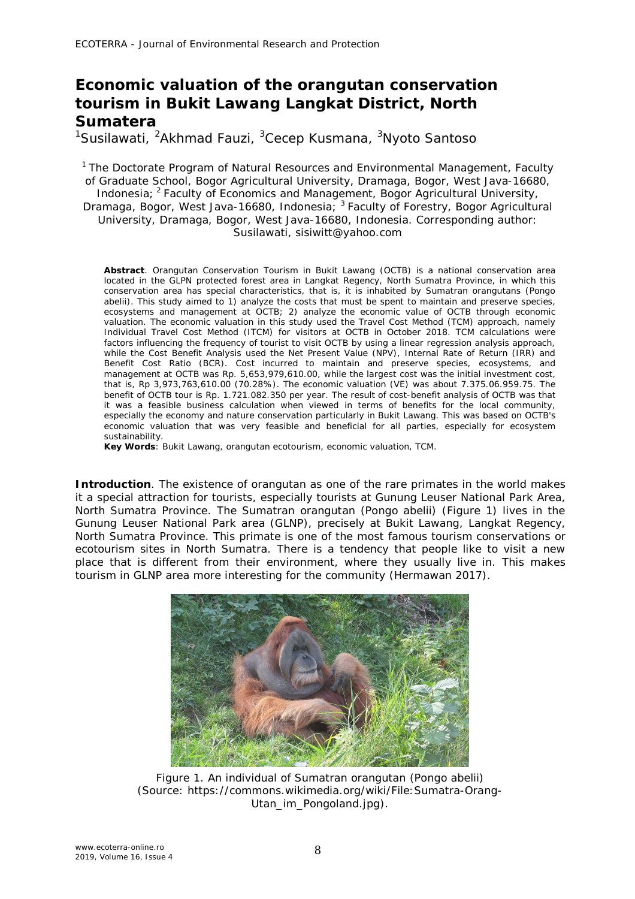# **Economic valuation of the orangutan conservation tourism in Bukit Lawang Langkat District, North Sumatera**

<sup>1</sup>Susilawati, <sup>2</sup>Akhmad Fauzi, <sup>3</sup>Cecep Kusmana, <sup>3</sup>Nyoto Santoso

<sup>1</sup> The Doctorate Program of Natural Resources and Environmental Management, Faculty of Graduate School, Bogor Agricultural University, Dramaga, Bogor, West Java-16680, Indonesia; <sup>2</sup>Faculty of Economics and Management, Bogor Agricultural University, Dramaga, Bogor, West Java-16680, Indonesia; <sup>3</sup> Faculty of Forestry, Bogor Agricultural University, Dramaga, Bogor, West Java-16680, Indonesia. Corresponding author: Susilawati, sisiwitt@yahoo.com

**Abstract**. Orangutan Conservation Tourism in Bukit Lawang (OCTB) is a national conservation area located in the GLPN protected forest area in Langkat Regency, North Sumatra Province, in which this conservation area has special characteristics, that is, it is inhabited by Sumatran orangutans (*Pongo abelii*). This study aimed to 1) analyze the costs that must be spent to maintain and preserve species, ecosystems and management at OCTB; 2) analyze the economic value of OCTB through economic valuation. The economic valuation in this study used the Travel Cost Method (TCM) approach, namely Individual Travel Cost Method (ITCM) for visitors at OCTB in October 2018. TCM calculations were factors influencing the frequency of tourist to visit OCTB by using a linear regression analysis approach, while the Cost Benefit Analysis used the Net Present Value (NPV), Internal Rate of Return (IRR) and Benefit Cost Ratio (BCR). Cost incurred to maintain and preserve species, ecosystems, and management at OCTB was Rp. 5,653,979,610.00, while the largest cost was the initial investment cost, that is, Rp 3,973,763,610.00 (70.28%). The economic valuation (VE) was about 7.375.06.959.75. The benefit of OCTB tour is Rp. 1.721.082.350 per year. The result of cost-benefit analysis of OCTB was that it was a feasible business calculation when viewed in terms of benefits for the local community, especially the economy and nature conservation particularly in Bukit Lawang. This was based on OCTB's economic valuation that was very feasible and beneficial for all parties, especially for ecosystem sustainability.

**Key Words**: Bukit Lawang, orangutan ecotourism, economic valuation, TCM.

**Introduction**. The existence of orangutan as one of the rare primates in the world makes it a special attraction for tourists, especially tourists at Gunung Leuser National Park Area, North Sumatra Province. The Sumatran orangutan (*Pongo abelii*) (Figure 1) lives in the Gunung Leuser National Park area (GLNP), precisely at Bukit Lawang, Langkat Regency, North Sumatra Province. This primate is one of the most famous tourism conservations or ecotourism sites in North Sumatra. There is a tendency that people like to visit a new place that is different from their environment, where they usually live in. This makes tourism in GLNP area more interesting for the community (Hermawan 2017).



Figure 1. An individual of Sumatran orangutan (*Pongo abelii*) (Source: https://commons.wikimedia.org/wiki/File:Sumatra-Orang-Utan\_im\_Pongoland.jpg).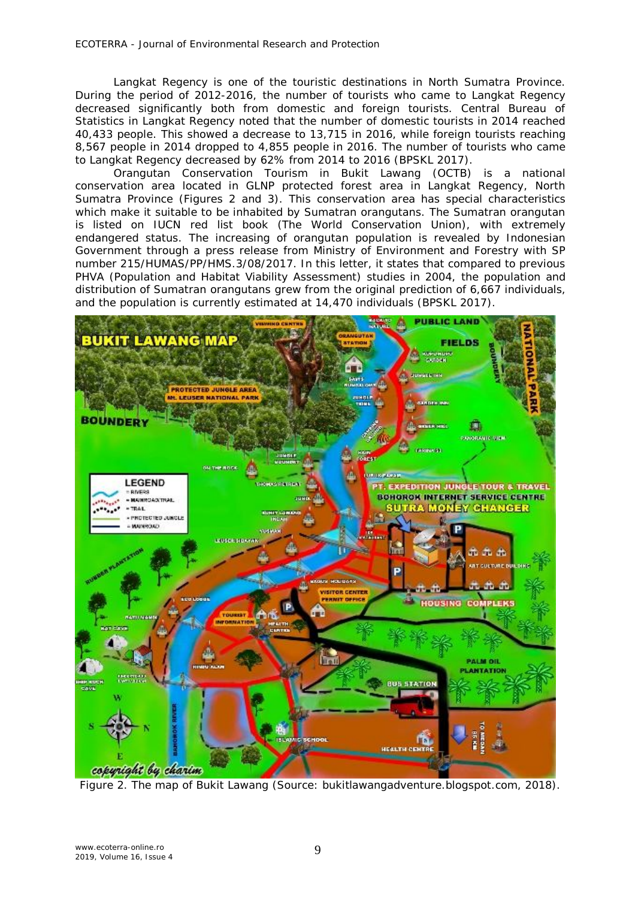Langkat Regency is one of the touristic destinations in North Sumatra Province. During the period of 2012-2016, the number of tourists who came to Langkat Regency decreased significantly both from domestic and foreign tourists. Central Bureau of Statistics in Langkat Regency noted that the number of domestic tourists in 2014 reached 40,433 people. This showed a decrease to 13,715 in 2016, while foreign tourists reaching 8,567 people in 2014 dropped to 4,855 people in 2016. The number of tourists who came to Langkat Regency decreased by 62% from 2014 to 2016 (BPSKL 2017).

Orangutan Conservation Tourism in Bukit Lawang (OCTB) is a national conservation area located in GLNP protected forest area in Langkat Regency, North Sumatra Province (Figures 2 and 3). This conservation area has special characteristics which make it suitable to be inhabited by Sumatran orangutans. The Sumatran orangutan is listed on IUCN red list book (The World Conservation Union), with extremely endangered status. The increasing of orangutan population is revealed by Indonesian Government through a press release from Ministry of Environment and Forestry with SP number 215/HUMAS/PP/HMS.3/08/2017. In this letter, it states that compared to previous PHVA (Population and Habitat Viability Assessment) studies in 2004, the population and distribution of Sumatran orangutans grew from the original prediction of 6,667 individuals, and the population is currently estimated at 14,470 individuals (BPSKL 2017).



Figure 2. The map of Bukit Lawang (Source: bukitlawangadventure.blogspot.com, 2018).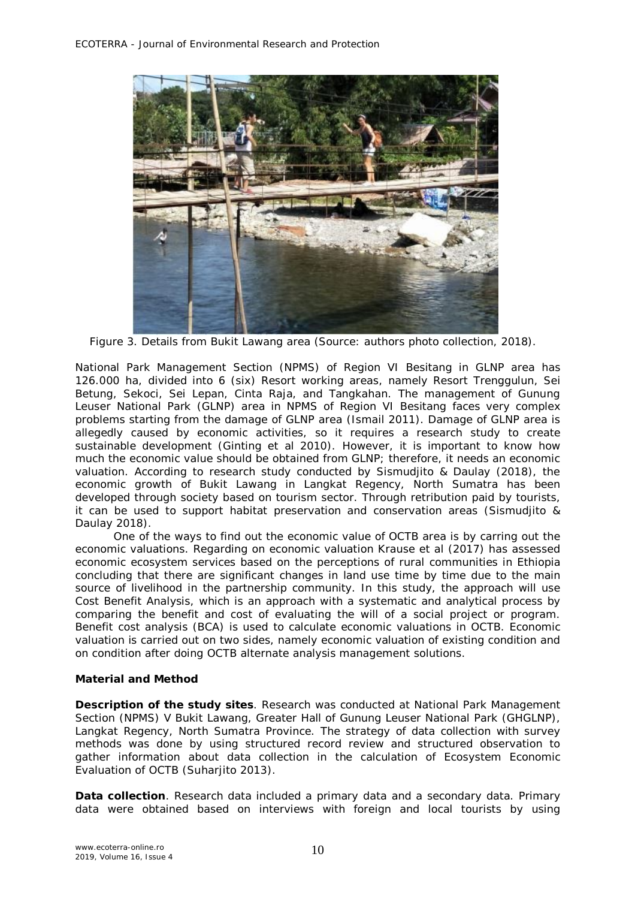

Figure 3. Details from Bukit Lawang area (Source: authors photo collection, 2018).

National Park Management Section (NPMS) of Region VI Besitang in GLNP area has 126.000 ha, divided into 6 (six) Resort working areas, namely Resort Trenggulun, Sei Betung, Sekoci, Sei Lepan, Cinta Raja, and Tangkahan. The management of Gunung Leuser National Park (GLNP) area in NPMS of Region VI Besitang faces very complex problems starting from the damage of GLNP area (Ismail 2011). Damage of GLNP area is allegedly caused by economic activities, so it requires a research study to create sustainable development (Ginting et al 2010). However, it is important to know how much the economic value should be obtained from GLNP; therefore, it needs an economic valuation. According to research study conducted by Sismudjito & Daulay (2018), the economic growth of Bukit Lawang in Langkat Regency, North Sumatra has been developed through society based on tourism sector. Through retribution paid by tourists, it can be used to support habitat preservation and conservation areas (Sismudjito & Daulay 2018).

One of the ways to find out the economic value of OCTB area is by carring out the economic valuations. Regarding on economic valuation Krause et al (2017) has assessed economic ecosystem services based on the perceptions of rural communities in Ethiopia concluding that there are significant changes in land use time by time due to the main source of livelihood in the partnership community. In this study, the approach will use Cost Benefit Analysis, which is an approach with a systematic and analytical process by comparing the benefit and cost of evaluating the will of a social project or program. Benefit cost analysis (BCA) is used to calculate economic valuations in OCTB. Economic valuation is carried out on two sides, namely economic valuation of existing condition and on condition after doing OCTB alternate analysis management solutions.

## **Material and Method**

*Description of the study sites.* Research was conducted at National Park Management Section (NPMS) V Bukit Lawang, Greater Hall of Gunung Leuser National Park (GHGLNP), Langkat Regency, North Sumatra Province. The strategy of data collection with survey methods was done by using structured record review and structured observation to gather information about data collection in the calculation of Ecosystem Economic Evaluation of OCTB (Suharjito 2013).

**Data collection**. Research data included a primary data and a secondary data. Primary data were obtained based on interviews with foreign and local tourists by using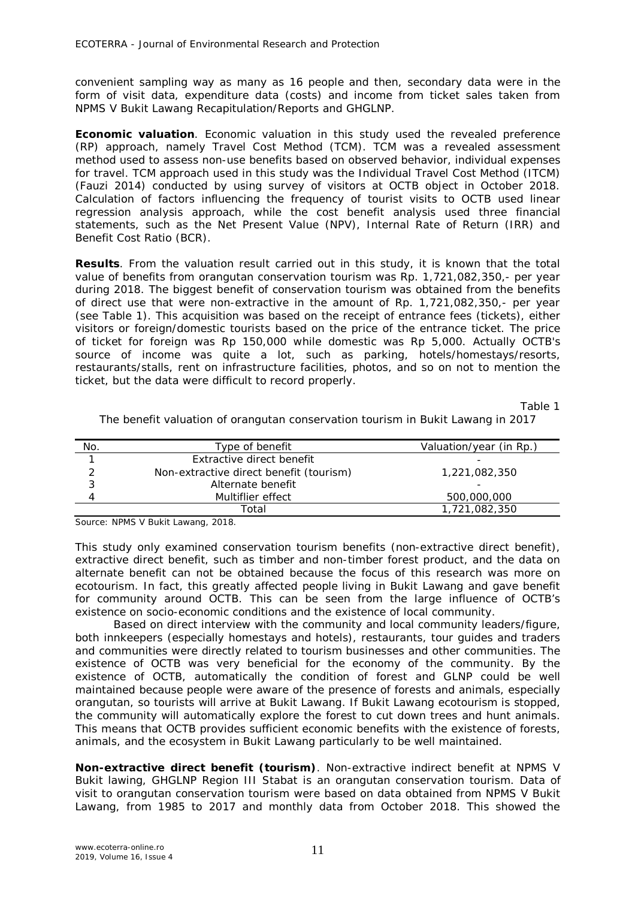convenient sampling way as many as 16 people and then, secondary data were in the form of visit data, expenditure data (costs) and income from ticket sales taken from NPMS V Bukit Lawang Recapitulation/Reports and GHGLNP.

*Economic valuation*. Economic valuation in this study used the revealed preference (RP) approach, namely Travel Cost Method (TCM). TCM was a revealed assessment method used to assess non-use benefits based on observed behavior, individual expenses for travel. TCM approach used in this study was the Individual Travel Cost Method (ITCM) (Fauzi 2014) conducted by using survey of visitors at OCTB object in October 2018. Calculation of factors influencing the frequency of tourist visits to OCTB used linear regression analysis approach, while the cost benefit analysis used three financial statements, such as the Net Present Value (NPV), Internal Rate of Return (IRR) and Benefit Cost Ratio (BCR).

**Results**. From the valuation result carried out in this study, it is known that the total value of benefits from orangutan conservation tourism was Rp. 1,721,082,350,- per year during 2018. The biggest benefit of conservation tourism was obtained from the benefits of direct use that were non-extractive in the amount of Rp. 1,721,082,350,- per year (see Table 1). This acquisition was based on the receipt of entrance fees (tickets), either visitors or foreign/domestic tourists based on the price of the entrance ticket. The price of ticket for foreign was Rp 150,000 while domestic was Rp 5,000. Actually OCTB's source of income was quite a lot, such as parking, hotels/homestays/resorts, restaurants/stalls, rent on infrastructure facilities, photos, and so on not to mention the ticket, but the data were difficult to record properly.

Table 1

The benefit valuation of orangutan conservation tourism in Bukit Lawang in 2017

| No. | Type of benefit                         | Valuation/year (in Rp.) |
|-----|-----------------------------------------|-------------------------|
|     | Extractive direct benefit               |                         |
|     | Non-extractive direct benefit (tourism) | 1,221,082,350           |
| 2   | Alternate benefit                       |                         |
| 4   | Multiflier effect                       | 500,000,000             |
|     | Total                                   | 1,721,082,350           |

Source: NPMS V Bukit Lawang, 2018.

This study only examined conservation tourism benefits (non-extractive direct benefit), extractive direct benefit, such as timber and non-timber forest product, and the data on alternate benefit can not be obtained because the focus of this research was more on ecotourism. In fact, this greatly affected people living in Bukit Lawang and gave benefit for community around OCTB. This can be seen from the large influence of OCTB's existence on socio-economic conditions and the existence of local community.

Based on direct interview with the community and local community leaders/figure, both innkeepers (especially homestays and hotels), restaurants, tour guides and traders and communities were directly related to tourism businesses and other communities. The existence of OCTB was very beneficial for the economy of the community. By the existence of OCTB, automatically the condition of forest and GLNP could be well maintained because people were aware of the presence of forests and animals, especially orangutan, so tourists will arrive at Bukit Lawang. If Bukit Lawang ecotourism is stopped, the community will automatically explore the forest to cut down trees and hunt animals. This means that OCTB provides sufficient economic benefits with the existence of forests, animals, and the ecosystem in Bukit Lawang particularly to be well maintained.

*Non-extractive direct benefit (tourism).* Non-extractive indirect benefit at NPMS V Bukit lawing, GHGLNP Region III Stabat is an orangutan conservation tourism. Data of visit to orangutan conservation tourism were based on data obtained from NPMS V Bukit Lawang, from 1985 to 2017 and monthly data from October 2018. This showed the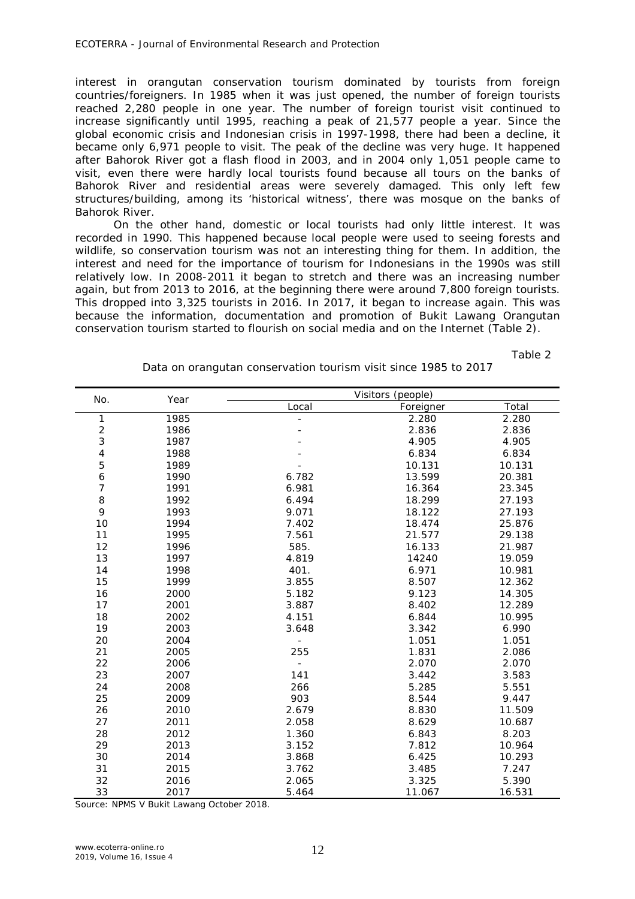interest in orangutan conservation tourism dominated by tourists from foreign countries/foreigners. In 1985 when it was just opened, the number of foreign tourists reached 2,280 people in one year. The number of foreign tourist visit continued to increase significantly until 1995, reaching a peak of 21,577 people a year. Since the global economic crisis and Indonesian crisis in 1997-1998, there had been a decline, it became only 6,971 people to visit. The peak of the decline was very huge. It happened after Bahorok River got a flash flood in 2003, and in 2004 only 1,051 people came to visit, even there were hardly local tourists found because all tours on the banks of Bahorok River and residential areas were severely damaged. This only left few structures/building, among its 'historical witness', there was mosque on the banks of Bahorok River.

On the other hand, domestic or local tourists had only little interest. It was recorded in 1990. This happened because local people were used to seeing forests and wildlife, so conservation tourism was not an interesting thing for them. In addition, the interest and need for the importance of tourism for Indonesians in the 1990s was still relatively low. In 2008-2011 it began to stretch and there was an increasing number again, but from 2013 to 2016, at the beginning there were around 7,800 foreign tourists. This dropped into 3,325 tourists in 2016. In 2017, it began to increase again. This was because the information, documentation and promotion of Bukit Lawang Orangutan conservation tourism started to flourish on social media and on the Internet (Table 2).

Table 2

|                          |      | Visitors (people) |           |        |  |  |  |  |
|--------------------------|------|-------------------|-----------|--------|--|--|--|--|
| No.                      | Year | Local             | Foreigner | Total  |  |  |  |  |
| $\mathbf{1}$             | 1985 |                   | 2.280     | 2.280  |  |  |  |  |
|                          | 1986 |                   | 2.836     | 2.836  |  |  |  |  |
| $\frac{2}{3}$            | 1987 |                   | 4.905     | 4.905  |  |  |  |  |
| $\overline{\mathcal{L}}$ | 1988 |                   | 6.834     | 6.834  |  |  |  |  |
| 5                        | 1989 |                   | 10.131    | 10.131 |  |  |  |  |
| $\boldsymbol{6}$         | 1990 | 6.782             | 13.599    | 20.381 |  |  |  |  |
| $\overline{7}$           | 1991 | 6.981             | 16.364    | 23.345 |  |  |  |  |
| 8                        | 1992 | 6.494             | 18.299    | 27.193 |  |  |  |  |
| 9                        | 1993 | 9.071             | 18.122    | 27.193 |  |  |  |  |
| 10                       | 1994 | 7.402             | 18.474    | 25.876 |  |  |  |  |
| 11                       | 1995 | 7.561             | 21.577    | 29.138 |  |  |  |  |
| 12                       | 1996 | 585.              | 16.133    | 21.987 |  |  |  |  |
| 13                       | 1997 | 4.819             | 14240     | 19.059 |  |  |  |  |
| 14                       | 1998 | 401.              | 6.971     | 10.981 |  |  |  |  |
| 15                       | 1999 | 3.855             | 8.507     | 12.362 |  |  |  |  |
| 16                       | 2000 | 5.182             | 9.123     | 14.305 |  |  |  |  |
| 17                       | 2001 | 3.887             | 8.402     | 12.289 |  |  |  |  |
| 18                       | 2002 | 4.151             | 6.844     | 10.995 |  |  |  |  |
| 19                       | 2003 | 3.648             | 3.342     | 6.990  |  |  |  |  |
| 20                       | 2004 |                   | 1.051     | 1.051  |  |  |  |  |
| 21                       | 2005 | 255               | 1.831     | 2.086  |  |  |  |  |
| 22                       | 2006 |                   | 2.070     | 2.070  |  |  |  |  |
| 23                       | 2007 | 141               | 3.442     | 3.583  |  |  |  |  |
| 24                       | 2008 | 266               | 5.285     | 5.551  |  |  |  |  |
| 25                       | 2009 | 903               | 8.544     | 9.447  |  |  |  |  |
| 26                       | 2010 | 2.679             | 8.830     | 11.509 |  |  |  |  |
| 27                       | 2011 | 2.058             | 8.629     | 10.687 |  |  |  |  |
| 28                       | 2012 | 1.360             | 6.843     | 8.203  |  |  |  |  |
| 29                       | 2013 | 3.152             | 7.812     | 10.964 |  |  |  |  |
| 30                       | 2014 | 3.868             | 6.425     | 10.293 |  |  |  |  |
| 31                       | 2015 | 3.762             | 3.485     | 7.247  |  |  |  |  |
| 32                       | 2016 | 2.065             | 3.325     | 5.390  |  |  |  |  |
| 33                       | 2017 | 5.464             | 11.067    | 16.531 |  |  |  |  |

Data on orangutan conservation tourism visit since 1985 to 2017

Source: NPMS V Bukit Lawang October 2018.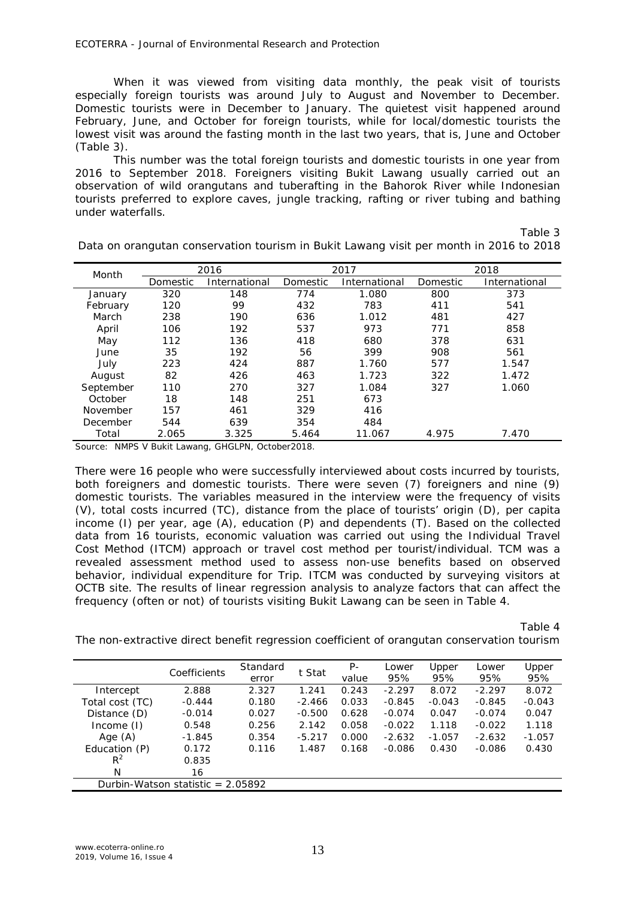ECOTERRA - Journal of Environmental Research and Protection

When it was viewed from visiting data monthly, the peak visit of tourists especially foreign tourists was around July to August and November to December. Domestic tourists were in December to January. The quietest visit happened around February, June, and October for foreign tourists, while for local/domestic tourists the lowest visit was around the fasting month in the last two years, that is, June and October (Table 3).

This number was the total foreign tourists and domestic tourists in one year from 2016 to September 2018. Foreigners visiting Bukit Lawang usually carried out an observation of wild orangutans and tuberafting in the Bahorok River while Indonesian tourists preferred to explore caves, jungle tracking, rafting or river tubing and bathing under waterfalls.

Table 3

| Month     | 2016     |               |          | 2017          | 2018     |               |
|-----------|----------|---------------|----------|---------------|----------|---------------|
|           | Domestic | International | Domestic | International | Domestic | International |
| January   | 320      | 148           | 774      | 1.080         | 800      | 373           |
| February  | 120      | 99            | 432      | 783           | 411      | 541           |
| March     | 238      | 190           | 636      | 1.012         | 481      | 427           |
| April     | 106      | 192           | 537      | 973           | 771      | 858           |
| May       | 112      | 136           | 418      | 680           | 378      | 631           |
| June      | 35       | 192           | 56       | 399           | 908      | 561           |
| July      | 223      | 424           | 887      | 1.760         | 577      | 1.547         |
| August    | 82       | 426           | 463      | 1.723         | 322      | 1.472         |
| September | 110      | 270           | 327      | 1.084         | 327      | 1.060         |
| October   | 18       | 148           | 251      | 673           |          |               |
| November  | 157      | 461           | 329      | 416           |          |               |
| December  | 544      | 639           | 354      | 484           |          |               |
| Total     | 2.065    | 3.325         | 5.464    | 11.067        | 4.975    | 7.470         |

Data on orangutan conservation tourism in Bukit Lawang visit per month in 2016 to 2018

Source: NMPS V Bukit Lawang, GHGLPN, October2018.

There were 16 people who were successfully interviewed about costs incurred by tourists, both foreigners and domestic tourists. There were seven (7) foreigners and nine (9) domestic tourists. The variables measured in the interview were the frequency of visits (V), total costs incurred (TC), distance from the place of tourists' origin (D), per capita income (I) per year, age (A), education (P) and dependents (T). Based on the collected data from 16 tourists, economic valuation was carried out using the Individual Travel Cost Method (ITCM) approach or travel cost method per tourist/individual. TCM was a revealed assessment method used to assess non-use benefits based on observed behavior, individual expenditure for Trip. ITCM was conducted by surveying visitors at OCTB site. The results of linear regression analysis to analyze factors that can affect the frequency (often or not) of tourists visiting Bukit Lawang can be seen in Table 4.

Table 4

The non-extractive direct benefit regression coefficient of orangutan conservation tourism

|                                     | Coefficients | Standard | t Stat   | Ρ-    | <i>Lower</i> | Upper    | Lower    | Upper    |
|-------------------------------------|--------------|----------|----------|-------|--------------|----------|----------|----------|
|                                     |              | error    |          | value | 95%          | 95%      | 95%      | 95%      |
| Intercept                           | 2.888        | 2.327    | 1.241    | 0.243 | $-2.297$     | 8.072    | $-2.297$ | 8.072    |
| Total cost (TC)                     | $-0.444$     | 0.180    | $-2.466$ | 0.033 | $-0.845$     | $-0.043$ | $-0.845$ | $-0.043$ |
| Distance (D)                        | $-0.014$     | 0.027    | $-0.500$ | 0.628 | $-0.074$     | 0.047    | $-0.074$ | 0.047    |
| Income $(I)$                        | 0.548        | 0.256    | 2.142    | 0.058 | $-0.022$     | 1.118    | $-0.022$ | 1.118    |
| Age $(A)$                           | $-1.845$     | 0.354    | $-5.217$ | 0.000 | $-2.632$     | $-1.057$ | $-2.632$ | $-1.057$ |
| Education (P)                       | 0.172        | 0.116    | 1.487    | 0.168 | $-0.086$     | 0.430    | $-0.086$ | 0.430    |
| $R^2$                               | 0.835        |          |          |       |              |          |          |          |
| N                                   | 16           |          |          |       |              |          |          |          |
| Durbin-Watson statistic = $2.05892$ |              |          |          |       |              |          |          |          |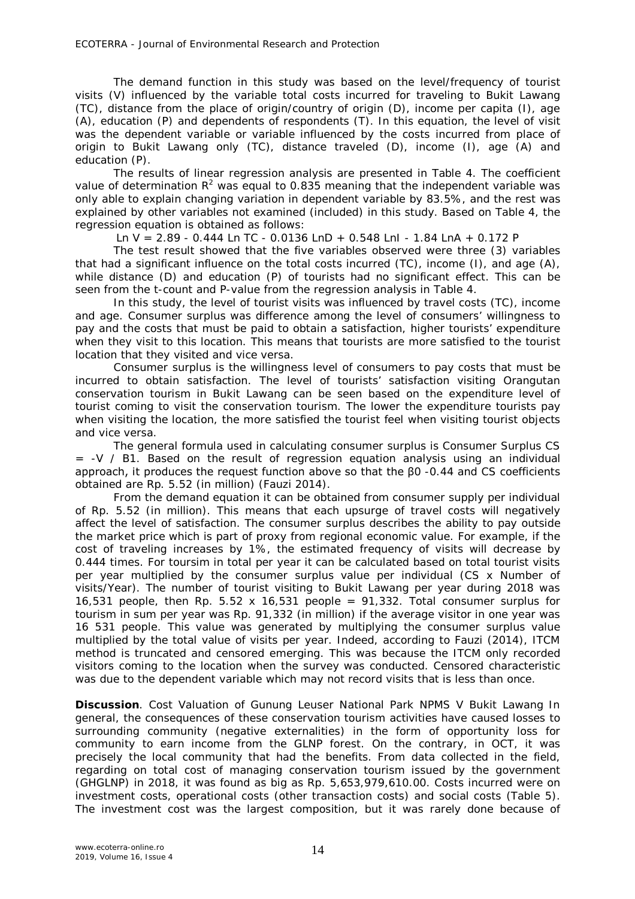The demand function in this study was based on the level/frequency of tourist visits (V) influenced by the variable total costs incurred for traveling to Bukit Lawang (TC), distance from the place of origin/country of origin (D), income per capita (I), age (A), education (P) and dependents of respondents (T). In this equation, the level of visit was the dependent variable or variable influenced by the costs incurred from place of origin to Bukit Lawang only (TC), distance traveled (D), income (I), age (A) and education (P).

The results of linear regression analysis are presented in Table 4. The coefficient value of determination  $R^2$  was equal to 0.835 meaning that the independent variable was only able to explain changing variation in dependent variable by 83.5%, and the rest was explained by other variables not examined (included) in this study. Based on Table 4, the regression equation is obtained as follows:

*Ln V = 2.89 - 0.444 Ln TC - 0.0136 LnD + 0.548 LnI - 1.84 LnA + 0.172 P*

The test result showed that the five variables observed were three (3) variables that had a significant influence on the total costs incurred (TC), income (I), and age (A), while distance (D) and education (P) of tourists had no significant effect. This can be seen from the t-count and P-value from the regression analysis in Table 4.

In this study, the level of tourist visits was influenced by travel costs (TC), income and age. Consumer surplus was difference among the level of consumers' willingness to pay and the costs that must be paid to obtain a satisfaction, higher tourists' expenditure when they visit to this location. This means that tourists are more satisfied to the tourist location that they visited and vice versa.

Consumer surplus is the willingness level of consumers to pay costs that must be incurred to obtain satisfaction. The level of tourists' satisfaction visiting Orangutan conservation tourism in Bukit Lawang can be seen based on the expenditure level of tourist coming to visit the conservation tourism. The lower the expenditure tourists pay when visiting the location, the more satisfied the tourist feel when visiting tourist objects and vice versa.

The general formula used in calculating consumer surplus is Consumer Surplus CS  $=$  -V / B1. Based on the result of regression equation analysis using an individual approach, it produces the request function above so that the β0 -0.44 and CS coefficients obtained are Rp. 5.52 (in million) (Fauzi 2014).

From the demand equation it can be obtained from consumer supply per individual of Rp. 5.52 (in million). This means that each upsurge of travel costs will negatively affect the level of satisfaction. The consumer surplus describes the ability to pay outside the market price which is part of proxy from regional economic value. For example, if the cost of traveling increases by 1%, the estimated frequency of visits will decrease by 0.444 times. For toursim in total per year it can be calculated based on total tourist visits per year multiplied by the consumer surplus value per individual (CS x Number of visits/Year). The number of tourist visiting to Bukit Lawang per year during 2018 was 16,531 people, then Rp. 5.52 x 16,531 people =  $91,332$ . Total consumer surplus for tourism in sum per year was Rp. 91,332 (in million) if the average visitor in one year was 16 531 people. This value was generated by multiplying the consumer surplus value multiplied by the total value of visits per year. Indeed, according to Fauzi (2014), ITCM method is truncated and censored emerging. This was because the ITCM only recorded visitors coming to the location when the survey was conducted. Censored characteristic was due to the dependent variable which may not record visits that is less than once.

**Discussion**. Cost Valuation of Gunung Leuser National Park NPMS V Bukit Lawang In general, the consequences of these conservation tourism activities have caused losses to surrounding community (negative externalities) in the form of opportunity loss for community to earn income from the GLNP forest. On the contrary, in OCT, it was precisely the local community that had the benefits. From data collected in the field, regarding on total cost of managing conservation tourism issued by the government (GHGLNP) in 2018, it was found as big as Rp. 5,653,979,610.00. Costs incurred were on investment costs, operational costs (other transaction costs) and social costs (Table 5). The investment cost was the largest composition, but it was rarely done because of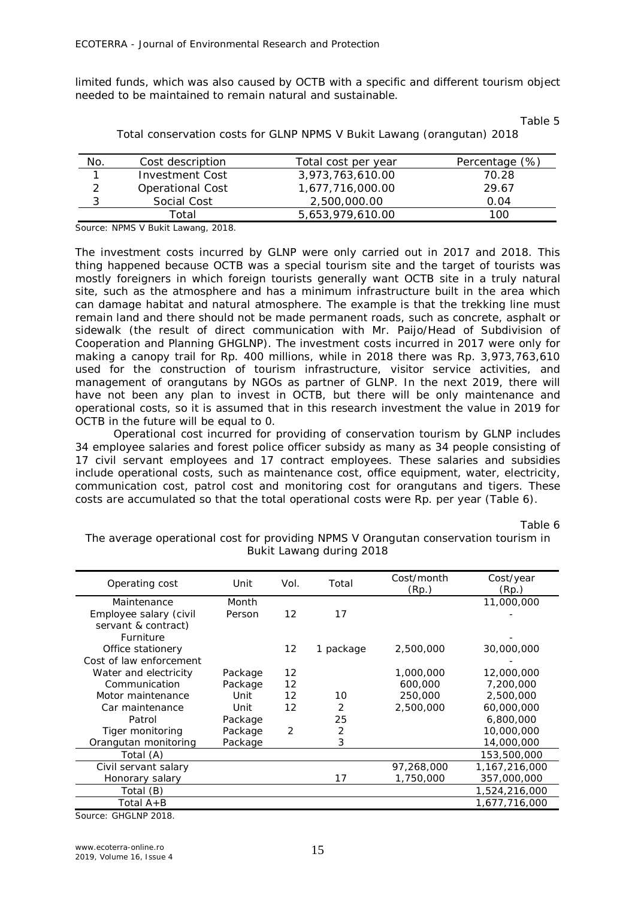limited funds, which was also caused by OCTB with a specific and different tourism object needed to be maintained to remain natural and sustainable.

Table 5

| No.        | Cost description        | Total cost per year | Percentage (%) |
|------------|-------------------------|---------------------|----------------|
|            | Investment Cost         | 3,973,763,610.00    | 70.28          |
| າ          | <b>Operational Cost</b> | 1,677,716,000.00    | 29.67          |
| $\sqrt{2}$ | Social Cost             | 2,500,000,00        | 0.04           |
|            | -ิotal                  | 5.653.979.610.00    | 100            |

Total conservation costs for GLNP NPMS V Bukit Lawang (orangutan) 2018

Source: NPMS V Bukit Lawang, 2018.

The investment costs incurred by GLNP were only carried out in 2017 and 2018. This thing happened because OCTB was a special tourism site and the target of tourists was mostly foreigners in which foreign tourists generally want OCTB site in a truly natural site, such as the atmosphere and has a minimum infrastructure built in the area which can damage habitat and natural atmosphere. The example is that the trekking line must remain land and there should not be made permanent roads, such as concrete, asphalt or sidewalk (the result of direct communication with Mr. Paijo/Head of Subdivision of Cooperation and Planning GHGLNP). The investment costs incurred in 2017 were only for making a canopy trail for Rp. 400 millions, while in 2018 there was Rp. 3,973,763,610 used for the construction of tourism infrastructure, visitor service activities, and management of orangutans by NGOs as partner of GLNP. In the next 2019, there will have not been any plan to invest in OCTB, but there will be only maintenance and operational costs, so it is assumed that in this research investment the value in 2019 for OCTB in the future will be equal to 0.

Operational cost incurred for providing of conservation tourism by GLNP includes 34 employee salaries and forest police officer subsidy as many as 34 people consisting of 17 civil servant employees and 17 contract employees. These salaries and subsidies include operational costs, such as maintenance cost, office equipment, water, electricity, communication cost, patrol cost and monitoring cost for orangutans and tigers. These costs are accumulated so that the total operational costs were Rp. per year (Table 6).

Table 6

The average operational cost for providing NPMS V Orangutan conservation tourism in Bukit Lawang during 2018

| Operating cost          | Unit    | Vol.              | Total     | Cost/month | Cost/year     |
|-------------------------|---------|-------------------|-----------|------------|---------------|
|                         |         |                   | (Rp.)     | (Rp.)      |               |
| Maintenance             | Month   |                   |           |            | 11,000,000    |
| Employee salary (civil  | Person  | $12 \overline{ }$ | 17        |            |               |
| servant & contract)     |         |                   |           |            |               |
| Furniture               |         |                   |           |            |               |
| Office stationery       |         | 12                | 1 package | 2,500,000  | 30,000,000    |
| Cost of law enforcement |         |                   |           |            |               |
| Water and electricity   | Package | 12                |           | 1,000,000  | 12,000,000    |
| Communication           | Package | $12 \overline{ }$ |           | 600,000    | 7,200,000     |
| Motor maintenance       | Unit    | $12 \overline{ }$ | 10        | 250,000    | 2,500,000     |
| Car maintenance         | Unit    | 12                | 2         | 2,500,000  | 60,000,000    |
| Patrol                  | Package |                   | 25        |            | 6,800,000     |
| Tiger monitoring        | Package | $\overline{2}$    | 2         |            | 10,000,000    |
| Orangutan monitoring    | Package |                   | 3         |            | 14,000,000    |
| Total (A)               |         |                   |           |            | 153,500,000   |
| Civil servant salary    |         |                   |           | 97,268,000 | 1,167,216,000 |
| Honorary salary         |         |                   | 17        | 1,750,000  | 357,000,000   |
| Total (B)               |         |                   |           |            | 1,524,216,000 |
| Total A+B               |         |                   |           |            | 1,677,716,000 |
|                         |         |                   |           |            |               |

Source: GHGLNP 2018.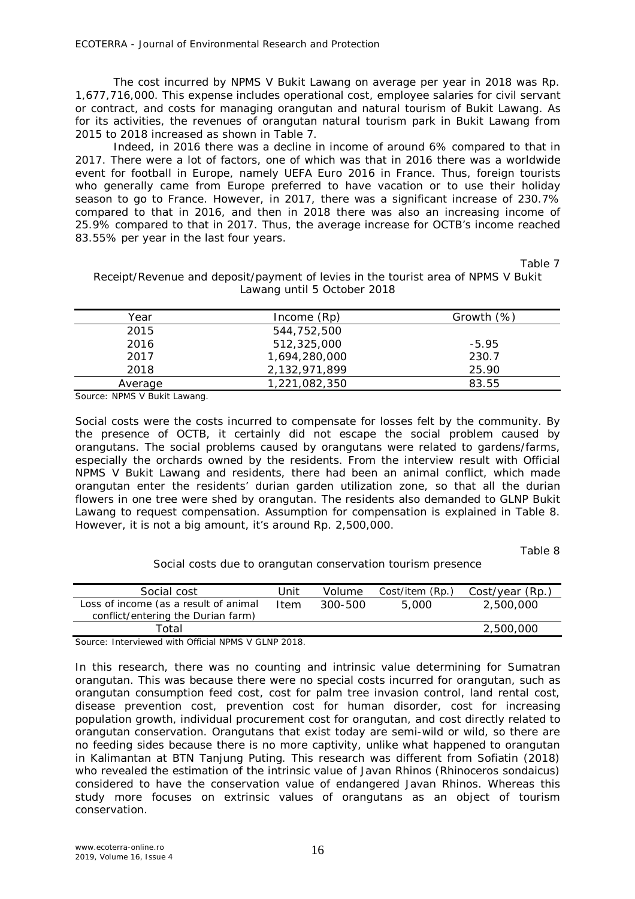The cost incurred by NPMS V Bukit Lawang on average per year in 2018 was Rp. 1,677,716,000. This expense includes operational cost, employee salaries for civil servant or contract, and costs for managing orangutan and natural tourism of Bukit Lawang. As for its activities, the revenues of orangutan natural tourism park in Bukit Lawang from 2015 to 2018 increased as shown in Table 7.

Indeed, in 2016 there was a decline in income of around 6% compared to that in 2017. There were a lot of factors, one of which was that in 2016 there was a worldwide event for football in Europe, namely UEFA Euro 2016 in France. Thus, foreign tourists who generally came from Europe preferred to have vacation or to use their holiday season to go to France. However, in 2017, there was a significant increase of 230.7% compared to that in 2016, and then in 2018 there was also an increasing income of 25.9% compared to that in 2017. Thus, the average increase for OCTB's income reached 83.55% per year in the last four years.

Table 7

# Receipt/Revenue and deposit/payment of levies in the tourist area of NPMS V Bukit Lawang until 5 October 2018

| Year    | $Income$ $(Rp)$ | Growth $(\%)$ |
|---------|-----------------|---------------|
| 2015    | 544,752,500     |               |
| 2016    | 512,325,000     | $-5.95$       |
| 2017    | 1,694,280,000   | 230.7         |
| 2018    | 2,132,971,899   | 25.90         |
| Average | 1,221,082,350   | 83.55         |

Source: NPMS V Bukit Lawang.

Social costs were the costs incurred to compensate for losses felt by the community. By the presence of OCTB, it certainly did not escape the social problem caused by orangutans. The social problems caused by orangutans were related to gardens/farms, especially the orchards owned by the residents. From the interview result with Official NPMS V Bukit Lawang and residents, there had been an animal conflict, which made orangutan enter the residents' durian garden utilization zone, so that all the durian flowers in one tree were shed by orangutan. The residents also demanded to GLNP Bukit Lawang to request compensation. Assumption for compensation is explained in Table 8. However, it is not a big amount, it's around Rp. 2,500,000.

Table 8

Social costs due to orangutan conservation tourism presence

| Social cost                                                                 | Unit | Volume  | Cost/item (Rp., | Cost/year (Rp.) |
|-----------------------------------------------------------------------------|------|---------|-----------------|-----------------|
| Loss of income (as a result of animal<br>conflict/entering the Durian farm) | Item | 300-500 | 5.000           | 2,500,000       |
| Total                                                                       |      |         |                 | 2,500,000       |
| $\sim$                                                                      |      |         |                 |                 |

Source: Interviewed with Official NPMS V GLNP 2018.

In this research, there was no counting and intrinsic value determining for Sumatran orangutan. This was because there were no special costs incurred for orangutan, such as orangutan consumption feed cost, cost for palm tree invasion control, land rental cost, disease prevention cost, prevention cost for human disorder, cost for increasing population growth, individual procurement cost for orangutan, and cost directly related to orangutan conservation. Orangutans that exist today are semi-wild or wild, so there are no feeding sides because there is no more captivity, unlike what happened to orangutan in Kalimantan at BTN Tanjung Puting. This research was different from Sofiatin (2018) who revealed the estimation of the intrinsic value of Javan Rhinos (*Rhinoceros sondaicus*) considered to have the conservation value of endangered Javan Rhinos. Whereas this study more focuses on extrinsic values of orangutans as an object of tourism conservation.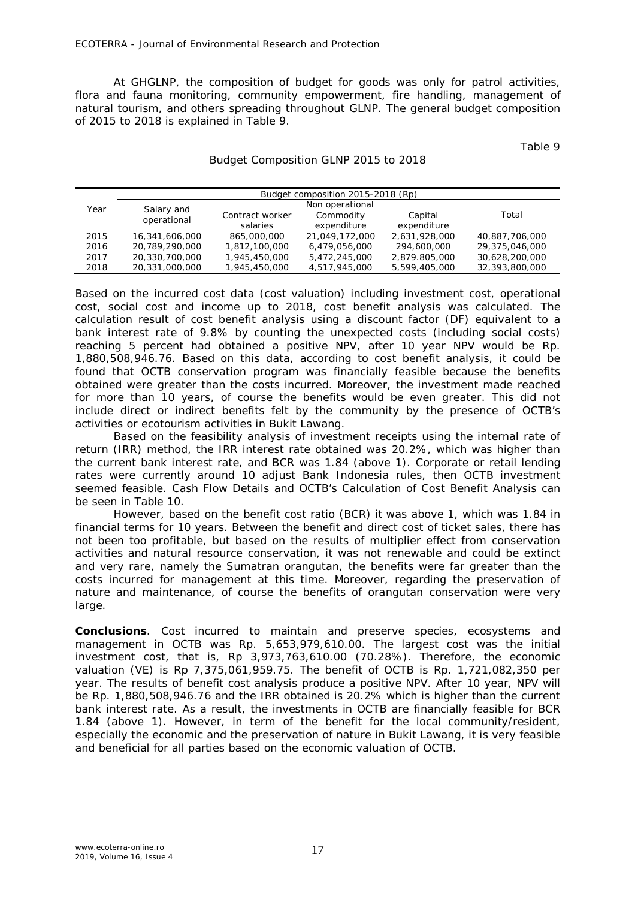At GHGLNP, the composition of budget for goods was only for patrol activities, flora and fauna monitoring, community empowerment, fire handling, management of natural tourism, and others spreading throughout GLNP. The general budget composition of 2015 to 2018 is explained in Table 9.

Table 9

|      |                |                 | Budget composition 2015-2018 (Rp) |               |                |
|------|----------------|-----------------|-----------------------------------|---------------|----------------|
| Year | Salary and     |                 |                                   |               |                |
|      | operational    | Contract worker | Commodity                         | Capital       | Total          |
|      |                | salaries        | expenditure                       | expenditure   |                |
| 2015 | 16,341,606,000 | 865,000,000     | 21,049,172,000                    | 2,631,928,000 | 40,887,706,000 |
| 2016 | 20,789,290,000 | 1,812,100,000   | 6.479.056.000                     | 294,600,000   | 29,375,046,000 |
| 2017 | 20,330,700,000 | 1,945,450,000   | 5,472,245,000                     | 2,879.805,000 | 30,628,200,000 |
| 2018 | 20,331,000,000 | 1,945,450,000   | 4.517.945.000                     | 5.599.405.000 | 32,393,800,000 |

#### Budget Composition GLNP 2015 to 2018

Based on the incurred cost data (cost valuation) including investment cost, operational cost, social cost and income up to 2018, cost benefit analysis was calculated. The calculation result of cost benefit analysis using a discount factor (DF) equivalent to a bank interest rate of 9.8% by counting the unexpected costs (including social costs) reaching 5 percent had obtained a positive NPV, after 10 year NPV would be Rp. 1,880,508,946.76. Based on this data, according to cost benefit analysis, it could be found that OCTB conservation program was financially feasible because the benefits obtained were greater than the costs incurred. Moreover, the investment made reached for more than 10 years, of course the benefits would be even greater. This did not include direct or indirect benefits felt by the community by the presence of OCTB's activities or ecotourism activities in Bukit Lawang.

Based on the feasibility analysis of investment receipts using the internal rate of return (IRR) method, the IRR interest rate obtained was 20.2%, which was higher than the current bank interest rate, and BCR was 1.84 (above 1). Corporate or retail lending rates were currently around 10 adjust Bank Indonesia rules, then OCTB investment seemed feasible. Cash Flow Details and OCTB's Calculation of Cost Benefit Analysis can be seen in Table 10.

However, based on the benefit cost ratio (BCR) it was above 1, which was 1.84 in financial terms for 10 years. Between the benefit and direct cost of ticket sales, there has not been too profitable, but based on the results of multiplier effect from conservation activities and natural resource conservation, it was not renewable and could be extinct and very rare, namely the Sumatran orangutan, the benefits were far greater than the costs incurred for management at this time. Moreover, regarding the preservation of nature and maintenance, of course the benefits of orangutan conservation were very large.

**Conclusions**. Cost incurred to maintain and preserve species, ecosystems and management in OCTB was Rp. 5,653,979,610.00. The largest cost was the initial investment cost, that is, Rp 3,973,763,610.00 (70.28%). Therefore, the economic valuation (VE) is Rp 7,375,061,959.75. The benefit of OCTB is Rp. 1,721,082,350 per year. The results of benefit cost analysis produce a positive NPV. After 10 year, NPV will be Rp. 1,880,508,946.76 and the IRR obtained is 20.2% which is higher than the current bank interest rate. As a result, the investments in OCTB are financially feasible for BCR 1.84 (above 1). However, in term of the benefit for the local community/resident, especially the economic and the preservation of nature in Bukit Lawang, it is very feasible and beneficial for all parties based on the economic valuation of OCTB.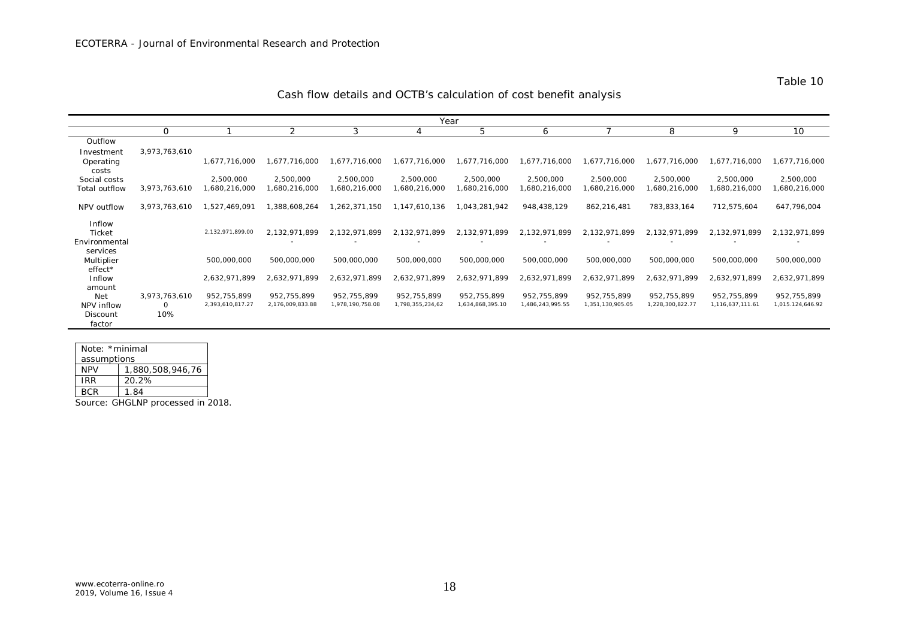| Year                                     |                    |                                 |                                 |                                 |                                 |                                 |                                 |                                 |                                 |                                 |                                 |
|------------------------------------------|--------------------|---------------------------------|---------------------------------|---------------------------------|---------------------------------|---------------------------------|---------------------------------|---------------------------------|---------------------------------|---------------------------------|---------------------------------|
|                                          | 0                  |                                 | 2                               | 3                               | $\overline{4}$                  | 5                               | 6                               |                                 | 8                               | 9                               | 10                              |
| Outflow                                  |                    |                                 |                                 |                                 |                                 |                                 |                                 |                                 |                                 |                                 |                                 |
| Investment                               | 3,973,763,610      |                                 |                                 |                                 |                                 |                                 |                                 |                                 |                                 |                                 |                                 |
| Operating<br>costs                       |                    | 1,677,716,000                   | 1,677,716,000                   | 1,677,716,000                   | 1,677,716,000                   | 1,677,716,000                   | 1,677,716,000                   | 1,677,716,000                   | 1,677,716,000                   | 1,677,716,000                   | 1,677,716,000                   |
| Social costs                             |                    | 2,500,000                       | 2,500,000                       | 2,500,000                       | 2,500,000                       | 2,500,000                       | 2,500,000                       | 2,500,000                       | 2,500,000                       | 2,500,000                       | 2,500,000                       |
| Total outflow                            | 3,973,763,610      | 1,680,216,000                   | 680,216,000                     | ,680,216,000                    | ,680,216,000                    | 1,680,216,000                   | 680,216,000                     | 1,680,216,000                   | 1,680,216,000                   | 1,680,216,000                   | ,680,216,000                    |
| NPV outflow                              | 3,973,763,610      | 1,527,469,091                   | 1,388,608,264                   | .262,371,150                    | 147,610,136                     | 1,043,281,942                   | 948,438,129                     | 862,216,481                     | 783,833,164                     | 712,575,604                     | 647,796,004                     |
| <i>Inflow</i><br>Ticket<br>Environmental |                    | 2,132,971,899.00                | 2,132,971,899                   | 2,132,971,899                   | 2,132,971,899                   | 2,132,971,899                   | 2,132,971,899                   | 2,132,971,899                   | 2,132,971,899                   | 2,132,971,899                   | 2,132,971,899                   |
| services<br>Multiplier<br>$effect*$      |                    | 500,000,000                     | 500,000,000                     | 500,000,000                     | 500,000,000                     | 500,000,000                     | 500,000,000                     | 500,000,000                     | 500,000,000                     | 500,000,000                     | 500,000,000                     |
| Inflow<br>amount                         |                    | 2,632,971,899                   | 2,632,971,899                   | 2,632,971,899                   | 2,632,971,899                   | 2,632,971,899                   | 2,632,971,899                   | 2,632,971,899                   | 2,632,971,899                   | 2,632,971,899                   | 2,632,971,899                   |
| Net<br>NPV inflow                        | 3,973,763,610<br>0 | 952,755,899<br>2,393,610,817.27 | 952,755,899<br>2,176,009,833.88 | 952,755,899<br>1,978,190,758.08 | 952,755,899<br>1,798,355,234,62 | 952,755,899<br>1,634,868,395.10 | 952,755,899<br>1,486,243,995.55 | 952,755,899<br>1,351,130,905.05 | 952,755,899<br>1,228,300,822.77 | 952,755,899<br>1,116,637,111.61 | 952,755,899<br>1,015.124,646.92 |
| Discount<br>factor                       | 10%                |                                 |                                 |                                 |                                 |                                 |                                 |                                 |                                 |                                 |                                 |

| Note: *minimal |                  |  |  |  |
|----------------|------------------|--|--|--|
| assumptions    |                  |  |  |  |
| NPV            | 1,880,508,946,76 |  |  |  |
| IRR            | 20.2%            |  |  |  |
| RCR.           | 1.84             |  |  |  |

Source: GHGLNP processed in 2018.

Table 10